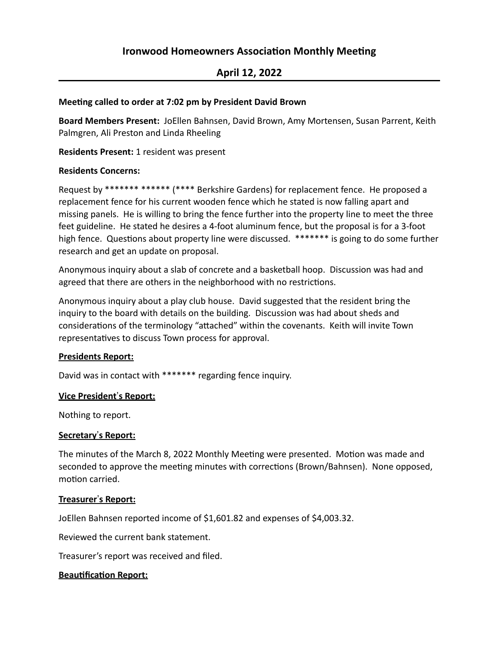# **Ironwood Homeowners Association Monthly Meeting**

## **April 12, 2022**

#### **Meeting called to order at 7:02 pm by President David Brown**

Board Members Present: JoEllen Bahnsen, David Brown, Amy Mortensen, Susan Parrent, Keith Palmgren, Ali Preston and Linda Rheeling

**Residents Present:** 1 resident was present

#### **Residents Concerns:**

Request by \*\*\*\*\*\*\* \*\*\*\*\*\* (\*\*\*\* Berkshire Gardens) for replacement fence. He proposed a replacement fence for his current wooden fence which he stated is now falling apart and missing panels. He is willing to bring the fence further into the property line to meet the three feet guideline. He stated he desires a 4-foot aluminum fence, but the proposal is for a 3-foot high fence. Questions about property line were discussed. \*\*\*\*\*\*\* is going to do some further research and get an update on proposal.

Anonymous inquiry about a slab of concrete and a basketball hoop. Discussion was had and agreed that there are others in the neighborhood with no restrictions.

Anonymous inquiry about a play club house. David suggested that the resident bring the inquiry to the board with details on the building. Discussion was had about sheds and considerations of the terminology "attached" within the covenants. Keith will invite Town representatives to discuss Town process for approval.

#### **Presidents Report:**

David was in contact with \*\*\*\*\*\*\* regarding fence inquiry.

#### **Vice President's Report:**

Nothing to report.

#### **Secretary**!**s Report:**

The minutes of the March 8, 2022 Monthly Meeting were presented. Motion was made and seconded to approve the meeting minutes with corrections (Brown/Bahnsen). None opposed, motion carried.

#### **Treasurer's Report:**

JoEllen Bahnsen reported income of \$1,601.82 and expenses of \$4,003.32.

Reviewed the current bank statement.

Treasurer's report was received and filed.

#### **Beautification Report:**